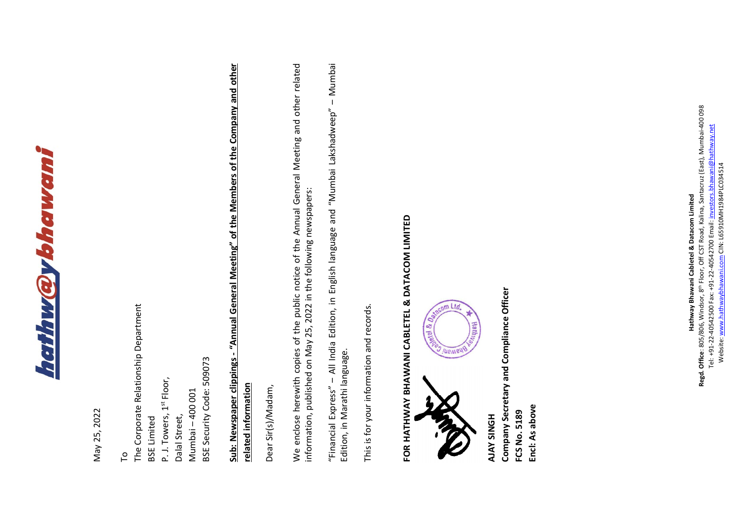

May 25, 2022 May 25, 2022

The Corporate Relationship Department The Corporate Relationship Department BSE Limited To

BSE Security Code: 509073 BSE Security Code: 509073 P. J. Towers, 1st Floor, P. J. Towers, 1st Floor, Mumbai - 400 001 Mumbai – 400 001 Dalal Street, Dalal Street,

## **Sub: Newspaper clippings - "Annual General Meeting" of the Members of the Company and other**  Sub: Newspaper clippings - "Annual General Meeting" of the Members of the Company and other **related information**  related information

Dear Sir(s)/Madam, Dear Sir(s)/Madam,

We enclose herewith copies of the public notice of the Annual General Meeting and other related We enclose herewith copies of the public notice of the Annual General Meeting and other related information, published on May 25, 2022 in the following newspapers: information, published on May 25, 2022 in the following newspapers:

"Financial Express" - All India Edition, in English language and "Mumbai Lakshadweep" - Mumbai "Financial Express" – All India Edition, in English language and "Mumbai Lakshadweep" – Mumbai Edition, in Marathi language. Edition, in Marathi language.

This is for your information and records. This is for your information and records.

## FOR HATHWAY BHAWANI CABLETEL & DATACOM LIMITED **FOR HATHWAY BHAWANI CABLETEL & DATACOM LIMITED**



Company Secretary and Compliance Officer **Company Secretary and Compliance Officer Encl: As above** Encl: As above FCS No. 5189 **FCS No. 5189 AJAY SINGH**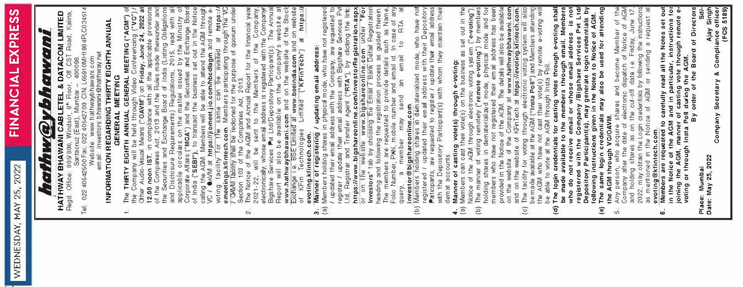## **Fl NANC IAL EXPRESS**  EXPRESS FINANCIAL

**HAT HWAY BHAWANI CABLETEL** & **DATACOM LIMITED**  n Floor, Off CST Road, Kalina. HATHWAY BHAWANI CABLETEL & DATACOM LIMITED<br>Regd. Office: 805/806, Windsor, 8<sup>n</sup> Floor, Off CST Road, Kalina, *1,othw@ybhawoni*  <u>hafhw@ybhawani</u> Regd. Office 805/806, Windsor, 8

Tel 022 40542500 Fax 022 40542700 CIN L65910MH1984PLC03451• Santacruz (East), Mumbai - 400098. Tei

Website: www. hat hwaybh awan i. com email: investors. bhawani@hathway.net

## **INFORMATION REGARDING THIRTY EIGHTH ANNUAL GENERAL MEETING**

- **R** and Disclosure Requirements) Regulations. 2015, read with all applicable circulars on the m alter issued by the Ministry of Corporate Affairs **("MOA")** and the Securities and Exchange Board 1. The **THIRTY EIGHTH ANNUAL GENERAL MEETING {"AGM")** of the Company will be held through Video Conferencing **("VO")** *I* Other Audio-Visual Means **("OAVM")** on **Friday, June 24, 2022 at 12.00 noon 1ST,** in compliance with all the applicable provisiom of the Companies Act, 2013 and the Rules made thereunder an< the Securities and Exchange Board of India (Listing Obligations of India **("SEBI"),** to transact the business set out in the Notice calling the AGM. Members will be able to attend the AGM througt VC / OAVM at **https://jiomeet.jio.comlhbcdlagm** and remote e**emeetings.kfintech.com**. Members participating through the VC 7 OAMM facility shall be reckoned for the purpose of quorum under voting facility for the same can be availed at **https:I,**  $\div$ 
	- 2. The Notice of the AGM and Annual Report for the financial year Report will also be avail ab le on the Company's website at 2021. 22, will be sent to the Members of the Company, electronically, whose ema l address is registered *v�th* the Company/ **www.hathwaybhawani.com** and on the website of the Stoel "Exchange 1.e. BsE limited at **www.bseindia.com** and on website Bigshare Services Pvt Ltd/Depository Participant(s). The Annua **:Flnfech")** at **https:/** Section 103 of the Companies Act, 2013. of KFin Technologies Limited **(" evoting.kfintech.com.**  $\alpha$ 
		- **3. Manner of registering / updating email address:**  $\vec{a}$
- (a) Members holding shares in physical mode, who have not registere< / updated their email address with the Company, are requested to register / update their email address with Bigshare Services Pv Ltd, Registrar and Transfer Agent **("RTA"),** by clicking the link **ht tps ://www. bi gshar eo nl** i **ne. com/I nvesto rRe gistrat ion.asp)** or on the website **www.bigshareonline.com** under **"For Investors"** tab by choosing the Email / Bank Detail Registratior heading and following the registration process as guided therein. The members are requested to provide details such as Name, Folio Number, PAN, mobile number and email id. In case of an, query, a member may send an em ail to RTA at **investor@bigshareonline.com.**
	- Participants, are requested to register / update their email address registered / updated their email address with their Depository with the Depository Participant(s) with whom they maintain their (b) Members holding shares in dematerialized mode, who have no demat accounts.  $\overline{E}$ 
		- **4. Manner of casting vote(s) through e-voting:**  $\div \widehat{\mathbb{C}}$
- (a) Members can cast their vote(s) on the business as set out in the provided in the Notice of the AGM. The details will also be available on the website of the Company at www.hathwaybhawani.com Notice of the AGM through electronic voting system **("e-voting").** (b) The manner of voting remotely **("remote e-voting")** by memberi holding shares in dematerialized mode, physical mode and fo1 members who have not registered their em ail address has beer  $\overline{E}$ 
	- ( c) The facility for voting through electronic voting system will also and on the website of KFinTech at **https://evoting.kfintech.com.** be made available at the AGM **("lnsta Poll")** and Members attendini  $\overline{c}$

the AGM who have not cast their vote(s) by remote e-voting will be able to vote at the AGM through lnsta Poll.

- Follo Number, FAN, mobile number and email d in case of any<br>probable number, FAN, mobile number and email d in case of any<br>probable associations of the state of the state of<br>propositions are continuous that is an addition **{e) The same login credentials may also be used for attending be made available to the members through email. Members who do not receive email or whose email address is not Depository Participant(s), may generate login credentials bJ (d) The login credentials for casting votes through e-voting shat registered with the Company /Bigshare Services Pvt Ltd following instructions given in the Notes to Notice of AGM.**  $\mathbf{r}$  $\mathbf{e}$ 
	- 5. Any person, who acquire shares and become Member of the and holding shares as on the cut-off date i.e. Friday, June 17. 2022, may obtain the Login credentials by follo�ng the instructiom as mentioned in the Notice of AGM or sending a request at Company after the date of electronic dispatch of Notice of AGI\ **the AGM through VO/OAVM.**   $\vec{a}$
- **in the Notice of the AGM and in particular, instructions fo1 6. Members are requested to carefully read all the Notes set out joining the AGM, manner of casting vote through remote e-** $\mathbf{e}$ M and in particular, instructions fo<br>ir of casting vote through remote e<br>Poll during the AGM. the AGM **evoting@kfintech.com.** in the Notice of joining<br>voting  $\bullet$

**By order of the Board of Directors** ō **Direct**  $\overline{\sigma}$ bard **voting or through lnsta Poll during the AGM.** the  $\overline{a}$ order  $5y$ the AGM, manner<br>or through Insta P Place:

Sd/-<br>Ajay Singh<br>ance officer<br>(FCS 5189) **Ajay Singh Company Secretary** & **Compliance office, {FOS 5189)** ؟ soupliance<br>Compliance ಹ Secretary Company

:: Mumbai<br>May 25, 2022 **Date: May 25, 2022 Place: Mumbai**  Date: